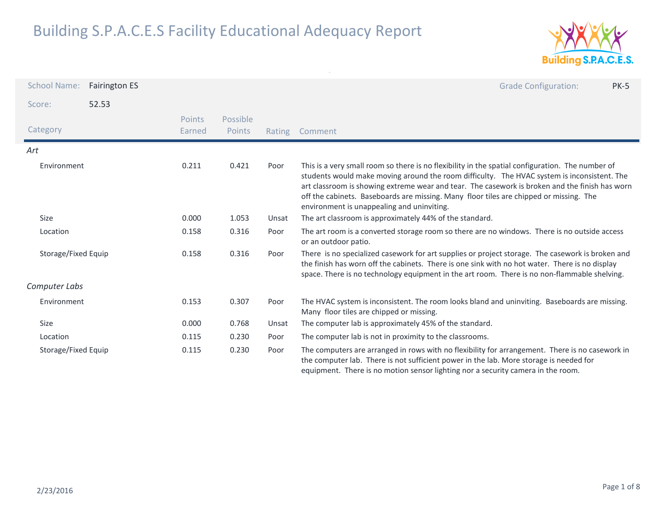

| <b>School Name:</b> | <b>Fairington ES</b> |                         |                    |       | <b>Grade Configuration:</b><br><b>PK-5</b>                                                                                                                                                                                                                                                                                                                                                                                                |
|---------------------|----------------------|-------------------------|--------------------|-------|-------------------------------------------------------------------------------------------------------------------------------------------------------------------------------------------------------------------------------------------------------------------------------------------------------------------------------------------------------------------------------------------------------------------------------------------|
| Score:              | 52.53                |                         |                    |       |                                                                                                                                                                                                                                                                                                                                                                                                                                           |
| Category            |                      | <b>Points</b><br>Earned | Possible<br>Points |       | Rating Comment                                                                                                                                                                                                                                                                                                                                                                                                                            |
| Art                 |                      |                         |                    |       |                                                                                                                                                                                                                                                                                                                                                                                                                                           |
| Environment         |                      | 0.211                   | 0.421              | Poor  | This is a very small room so there is no flexibility in the spatial configuration. The number of<br>students would make moving around the room difficulty. The HVAC system is inconsistent. The<br>art classroom is showing extreme wear and tear. The casework is broken and the finish has worn<br>off the cabinets. Baseboards are missing. Many floor tiles are chipped or missing. The<br>environment is unappealing and uninviting. |
| <b>Size</b>         |                      | 0.000                   | 1.053              | Unsat | The art classroom is approximately 44% of the standard.                                                                                                                                                                                                                                                                                                                                                                                   |
| Location            |                      | 0.158                   | 0.316              | Poor  | The art room is a converted storage room so there are no windows. There is no outside access<br>or an outdoor patio.                                                                                                                                                                                                                                                                                                                      |
| Storage/Fixed Equip |                      | 0.158                   | 0.316              | Poor  | There is no specialized casework for art supplies or project storage. The casework is broken and<br>the finish has worn off the cabinets. There is one sink with no hot water. There is no display<br>space. There is no technology equipment in the art room. There is no non-flammable shelving.                                                                                                                                        |
| Computer Labs       |                      |                         |                    |       |                                                                                                                                                                                                                                                                                                                                                                                                                                           |
| Environment         |                      | 0.153                   | 0.307              | Poor  | The HVAC system is inconsistent. The room looks bland and uninviting. Baseboards are missing.<br>Many floor tiles are chipped or missing.                                                                                                                                                                                                                                                                                                 |
| Size                |                      | 0.000                   | 0.768              | Unsat | The computer lab is approximately 45% of the standard.                                                                                                                                                                                                                                                                                                                                                                                    |
| Location            |                      | 0.115                   | 0.230              | Poor  | The computer lab is not in proximity to the classrooms.                                                                                                                                                                                                                                                                                                                                                                                   |
| Storage/Fixed Equip |                      | 0.115                   | 0.230              | Poor  | The computers are arranged in rows with no flexibility for arrangement. There is no casework in<br>the computer lab. There is not sufficient power in the lab. More storage is needed for<br>equipment. There is no motion sensor lighting nor a security camera in the room.                                                                                                                                                             |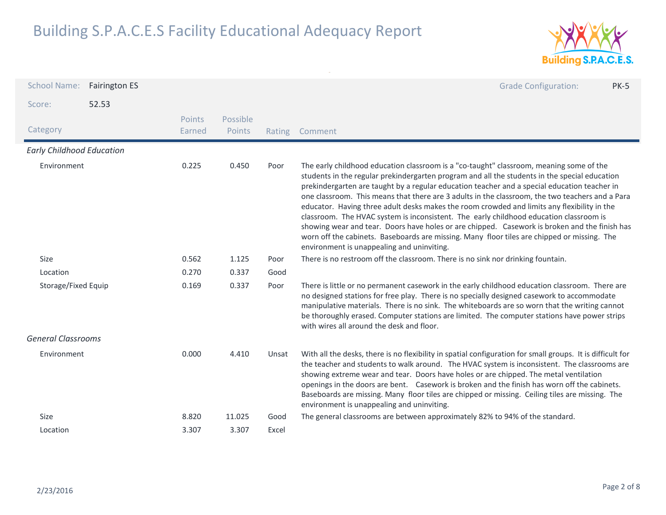

| <b>School Name:</b>              | <b>Fairington ES</b> |                         |                    |        | <b>Grade Configuration:</b><br><b>PK-5</b>                                                                                                                                                                                                                                                                                                                                                                                                                                                                                                                                                                                                                                                                                                                                                                                         |
|----------------------------------|----------------------|-------------------------|--------------------|--------|------------------------------------------------------------------------------------------------------------------------------------------------------------------------------------------------------------------------------------------------------------------------------------------------------------------------------------------------------------------------------------------------------------------------------------------------------------------------------------------------------------------------------------------------------------------------------------------------------------------------------------------------------------------------------------------------------------------------------------------------------------------------------------------------------------------------------------|
| Score:                           | 52.53                |                         |                    |        |                                                                                                                                                                                                                                                                                                                                                                                                                                                                                                                                                                                                                                                                                                                                                                                                                                    |
| Category                         |                      | <b>Points</b><br>Earned | Possible<br>Points | Rating | Comment                                                                                                                                                                                                                                                                                                                                                                                                                                                                                                                                                                                                                                                                                                                                                                                                                            |
| <b>Early Childhood Education</b> |                      |                         |                    |        |                                                                                                                                                                                                                                                                                                                                                                                                                                                                                                                                                                                                                                                                                                                                                                                                                                    |
| Environment                      |                      | 0.225                   | 0.450              | Poor   | The early childhood education classroom is a "co-taught" classroom, meaning some of the<br>students in the regular prekindergarten program and all the students in the special education<br>prekindergarten are taught by a regular education teacher and a special education teacher in<br>one classroom. This means that there are 3 adults in the classroom, the two teachers and a Para<br>educator. Having three adult desks makes the room crowded and limits any flexibility in the<br>classroom. The HVAC system is inconsistent. The early childhood education classroom is<br>showing wear and tear. Doors have holes or are chipped. Casework is broken and the finish has<br>worn off the cabinets. Baseboards are missing. Many floor tiles are chipped or missing. The<br>environment is unappealing and uninviting. |
| <b>Size</b>                      |                      | 0.562                   | 1.125              | Poor   | There is no restroom off the classroom. There is no sink nor drinking fountain.                                                                                                                                                                                                                                                                                                                                                                                                                                                                                                                                                                                                                                                                                                                                                    |
| Location                         |                      | 0.270                   | 0.337              | Good   |                                                                                                                                                                                                                                                                                                                                                                                                                                                                                                                                                                                                                                                                                                                                                                                                                                    |
| Storage/Fixed Equip              |                      | 0.169                   | 0.337              | Poor   | There is little or no permanent casework in the early childhood education classroom. There are<br>no designed stations for free play. There is no specially designed casework to accommodate<br>manipulative materials. There is no sink. The whiteboards are so worn that the writing cannot<br>be thoroughly erased. Computer stations are limited. The computer stations have power strips<br>with wires all around the desk and floor.                                                                                                                                                                                                                                                                                                                                                                                         |
| <b>General Classrooms</b>        |                      |                         |                    |        |                                                                                                                                                                                                                                                                                                                                                                                                                                                                                                                                                                                                                                                                                                                                                                                                                                    |
| Environment                      |                      | 0.000                   | 4.410              | Unsat  | With all the desks, there is no flexibility in spatial configuration for small groups. It is difficult for<br>the teacher and students to walk around. The HVAC system is inconsistent. The classrooms are<br>showing extreme wear and tear. Doors have holes or are chipped. The metal ventilation<br>openings in the doors are bent. Casework is broken and the finish has worn off the cabinets.<br>Baseboards are missing. Many floor tiles are chipped or missing. Ceiling tiles are missing. The<br>environment is unappealing and uninviting.                                                                                                                                                                                                                                                                               |
| Size                             |                      | 8.820                   | 11.025             | Good   | The general classrooms are between approximately 82% to 94% of the standard.                                                                                                                                                                                                                                                                                                                                                                                                                                                                                                                                                                                                                                                                                                                                                       |
| Location                         |                      | 3.307                   | 3.307              | Excel  |                                                                                                                                                                                                                                                                                                                                                                                                                                                                                                                                                                                                                                                                                                                                                                                                                                    |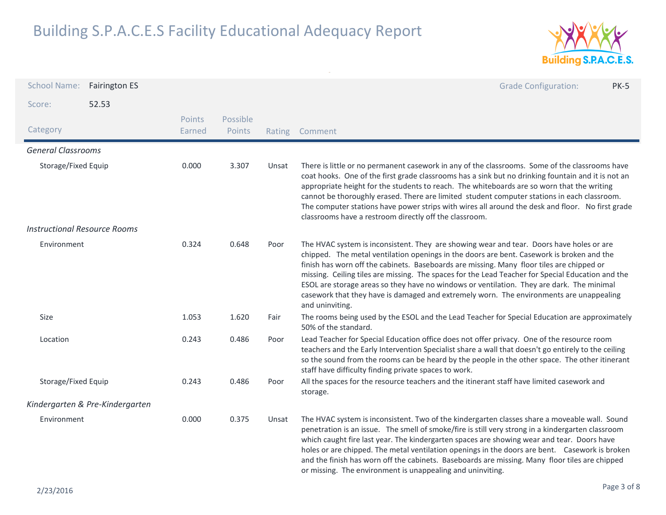

| School Name: Fairington ES          |                                 |                  |                    |        | <b>Grade Configuration:</b><br><b>PK-5</b>                                                                                                                                                                                                                                                                                                                                                                                                                                                                                                                                                         |
|-------------------------------------|---------------------------------|------------------|--------------------|--------|----------------------------------------------------------------------------------------------------------------------------------------------------------------------------------------------------------------------------------------------------------------------------------------------------------------------------------------------------------------------------------------------------------------------------------------------------------------------------------------------------------------------------------------------------------------------------------------------------|
| Score:                              | 52.53                           |                  |                    |        |                                                                                                                                                                                                                                                                                                                                                                                                                                                                                                                                                                                                    |
| Category                            |                                 | Points<br>Earned | Possible<br>Points | Rating | Comment                                                                                                                                                                                                                                                                                                                                                                                                                                                                                                                                                                                            |
| <b>General Classrooms</b>           |                                 |                  |                    |        |                                                                                                                                                                                                                                                                                                                                                                                                                                                                                                                                                                                                    |
| Storage/Fixed Equip                 |                                 | 0.000            | 3.307              | Unsat  | There is little or no permanent casework in any of the classrooms. Some of the classrooms have<br>coat hooks. One of the first grade classrooms has a sink but no drinking fountain and it is not an<br>appropriate height for the students to reach. The whiteboards are so worn that the writing<br>cannot be thoroughly erased. There are limited student computer stations in each classroom.<br>The computer stations have power strips with wires all around the desk and floor. No first grade<br>classrooms have a restroom directly off the classroom.                                    |
| <b>Instructional Resource Rooms</b> |                                 |                  |                    |        |                                                                                                                                                                                                                                                                                                                                                                                                                                                                                                                                                                                                    |
| Environment                         |                                 | 0.324            | 0.648              | Poor   | The HVAC system is inconsistent. They are showing wear and tear. Doors have holes or are<br>chipped. The metal ventilation openings in the doors are bent. Casework is broken and the<br>finish has worn off the cabinets. Baseboards are missing. Many floor tiles are chipped or<br>missing. Ceiling tiles are missing. The spaces for the Lead Teacher for Special Education and the<br>ESOL are storage areas so they have no windows or ventilation. They are dark. The minimal<br>casework that they have is damaged and extremely worn. The environments are unappealing<br>and uninviting. |
| Size                                |                                 | 1.053            | 1.620              | Fair   | The rooms being used by the ESOL and the Lead Teacher for Special Education are approximately<br>50% of the standard.                                                                                                                                                                                                                                                                                                                                                                                                                                                                              |
| Location                            |                                 | 0.243            | 0.486              | Poor   | Lead Teacher for Special Education office does not offer privacy. One of the resource room<br>teachers and the Early Intervention Specialist share a wall that doesn't go entirely to the ceiling<br>so the sound from the rooms can be heard by the people in the other space. The other itinerant<br>staff have difficulty finding private spaces to work.                                                                                                                                                                                                                                       |
| Storage/Fixed Equip                 |                                 | 0.243            | 0.486              | Poor   | All the spaces for the resource teachers and the itinerant staff have limited casework and<br>storage.                                                                                                                                                                                                                                                                                                                                                                                                                                                                                             |
|                                     | Kindergarten & Pre-Kindergarten |                  |                    |        |                                                                                                                                                                                                                                                                                                                                                                                                                                                                                                                                                                                                    |
| Environment                         |                                 | 0.000            | 0.375              | Unsat  | The HVAC system is inconsistent. Two of the kindergarten classes share a moveable wall. Sound<br>penetration is an issue. The smell of smoke/fire is still very strong in a kindergarten classroom<br>which caught fire last year. The kindergarten spaces are showing wear and tear. Doors have<br>holes or are chipped. The metal ventilation openings in the doors are bent. Casework is broken<br>and the finish has worn off the cabinets. Baseboards are missing. Many floor tiles are chipped<br>or missing. The environment is unappealing and uninviting.                                 |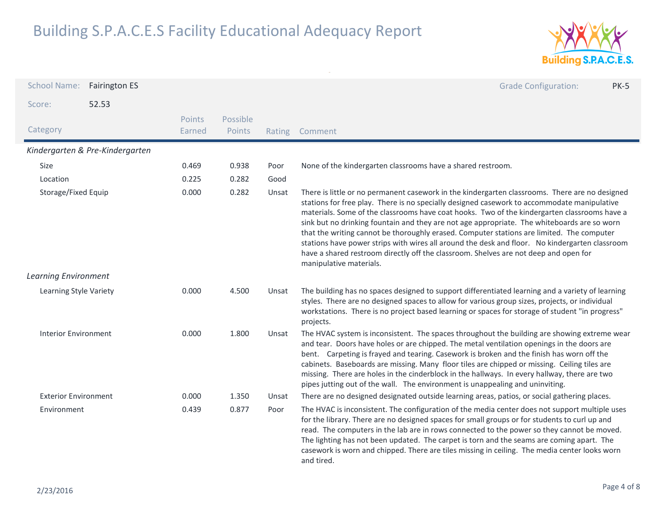

| <b>School Name:</b>         | <b>Fairington ES</b>            |                  |                    |        | <b>Grade Configuration:</b><br><b>PK-5</b>                                                                                                                                                                                                                                                                                                                                                                                                                                                                                                                                                                                                                                                                     |
|-----------------------------|---------------------------------|------------------|--------------------|--------|----------------------------------------------------------------------------------------------------------------------------------------------------------------------------------------------------------------------------------------------------------------------------------------------------------------------------------------------------------------------------------------------------------------------------------------------------------------------------------------------------------------------------------------------------------------------------------------------------------------------------------------------------------------------------------------------------------------|
| Score:                      | 52.53                           |                  |                    |        |                                                                                                                                                                                                                                                                                                                                                                                                                                                                                                                                                                                                                                                                                                                |
| Category                    |                                 | Points<br>Earned | Possible<br>Points | Rating | Comment                                                                                                                                                                                                                                                                                                                                                                                                                                                                                                                                                                                                                                                                                                        |
|                             | Kindergarten & Pre-Kindergarten |                  |                    |        |                                                                                                                                                                                                                                                                                                                                                                                                                                                                                                                                                                                                                                                                                                                |
| Size                        |                                 | 0.469            | 0.938              | Poor   | None of the kindergarten classrooms have a shared restroom.                                                                                                                                                                                                                                                                                                                                                                                                                                                                                                                                                                                                                                                    |
| Location                    |                                 | 0.225            | 0.282              | Good   |                                                                                                                                                                                                                                                                                                                                                                                                                                                                                                                                                                                                                                                                                                                |
| Storage/Fixed Equip         |                                 | 0.000            | 0.282              | Unsat  | There is little or no permanent casework in the kindergarten classrooms. There are no designed<br>stations for free play. There is no specially designed casework to accommodate manipulative<br>materials. Some of the classrooms have coat hooks. Two of the kindergarten classrooms have a<br>sink but no drinking fountain and they are not age appropriate. The whiteboards are so worn<br>that the writing cannot be thoroughly erased. Computer stations are limited. The computer<br>stations have power strips with wires all around the desk and floor. No kindergarten classroom<br>have a shared restroom directly off the classroom. Shelves are not deep and open for<br>manipulative materials. |
| <b>Learning Environment</b> |                                 |                  |                    |        |                                                                                                                                                                                                                                                                                                                                                                                                                                                                                                                                                                                                                                                                                                                |
| Learning Style Variety      |                                 | 0.000            | 4.500              | Unsat  | The building has no spaces designed to support differentiated learning and a variety of learning<br>styles. There are no designed spaces to allow for various group sizes, projects, or individual<br>workstations. There is no project based learning or spaces for storage of student "in progress"<br>projects.                                                                                                                                                                                                                                                                                                                                                                                             |
| <b>Interior Environment</b> |                                 | 0.000            | 1.800              | Unsat  | The HVAC system is inconsistent. The spaces throughout the building are showing extreme wear<br>and tear. Doors have holes or are chipped. The metal ventilation openings in the doors are<br>bent. Carpeting is frayed and tearing. Casework is broken and the finish has worn off the<br>cabinets. Baseboards are missing. Many floor tiles are chipped or missing. Ceiling tiles are<br>missing. There are holes in the cinderblock in the hallways. In every hallway, there are two<br>pipes jutting out of the wall. The environment is unappealing and uninviting.                                                                                                                                       |
| <b>Exterior Environment</b> |                                 | 0.000            | 1.350              | Unsat  | There are no designed designated outside learning areas, patios, or social gathering places.                                                                                                                                                                                                                                                                                                                                                                                                                                                                                                                                                                                                                   |
| Environment                 |                                 | 0.439            | 0.877              | Poor   | The HVAC is inconsistent. The configuration of the media center does not support multiple uses<br>for the library. There are no designed spaces for small groups or for students to curl up and<br>read. The computers in the lab are in rows connected to the power so they cannot be moved.<br>The lighting has not been updated. The carpet is torn and the seams are coming apart. The<br>casework is worn and chipped. There are tiles missing in ceiling. The media center looks worn<br>and tired.                                                                                                                                                                                                      |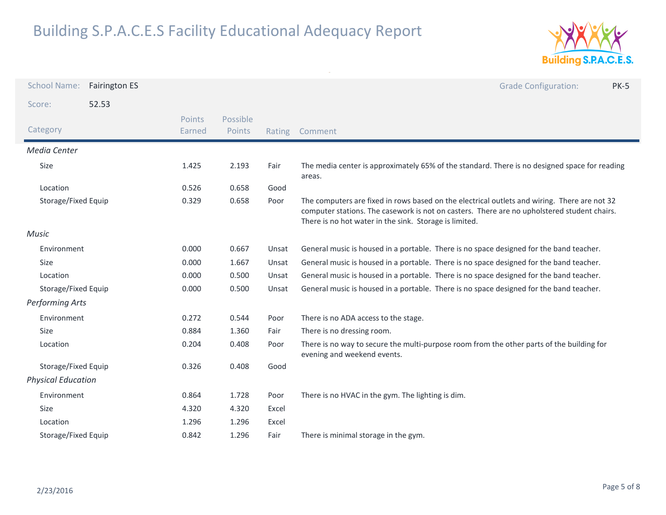

| <b>School Name:</b>       | <b>Fairington ES</b> |                  |                    |        | <b>Grade Configuration:</b><br><b>PK-5</b>                                                                                                                                                                                                            |
|---------------------------|----------------------|------------------|--------------------|--------|-------------------------------------------------------------------------------------------------------------------------------------------------------------------------------------------------------------------------------------------------------|
| Score:                    | 52.53                |                  |                    |        |                                                                                                                                                                                                                                                       |
| Category                  |                      | Points<br>Earned | Possible<br>Points | Rating | Comment                                                                                                                                                                                                                                               |
| Media Center              |                      |                  |                    |        |                                                                                                                                                                                                                                                       |
| Size                      |                      | 1.425            | 2.193              | Fair   | The media center is approximately 65% of the standard. There is no designed space for reading<br>areas.                                                                                                                                               |
| Location                  |                      | 0.526            | 0.658              | Good   |                                                                                                                                                                                                                                                       |
| Storage/Fixed Equip       |                      | 0.329            | 0.658              | Poor   | The computers are fixed in rows based on the electrical outlets and wiring. There are not 32<br>computer stations. The casework is not on casters. There are no upholstered student chairs.<br>There is no hot water in the sink. Storage is limited. |
| Music                     |                      |                  |                    |        |                                                                                                                                                                                                                                                       |
| Environment               |                      | 0.000            | 0.667              | Unsat  | General music is housed in a portable. There is no space designed for the band teacher.                                                                                                                                                               |
| Size                      |                      | 0.000            | 1.667              | Unsat  | General music is housed in a portable. There is no space designed for the band teacher.                                                                                                                                                               |
| Location                  |                      | 0.000            | 0.500              | Unsat  | General music is housed in a portable. There is no space designed for the band teacher.                                                                                                                                                               |
| Storage/Fixed Equip       |                      | 0.000            | 0.500              | Unsat  | General music is housed in a portable. There is no space designed for the band teacher.                                                                                                                                                               |
| Performing Arts           |                      |                  |                    |        |                                                                                                                                                                                                                                                       |
| Environment               |                      | 0.272            | 0.544              | Poor   | There is no ADA access to the stage.                                                                                                                                                                                                                  |
| Size                      |                      | 0.884            | 1.360              | Fair   | There is no dressing room.                                                                                                                                                                                                                            |
| Location                  |                      | 0.204            | 0.408              | Poor   | There is no way to secure the multi-purpose room from the other parts of the building for<br>evening and weekend events.                                                                                                                              |
| Storage/Fixed Equip       |                      | 0.326            | 0.408              | Good   |                                                                                                                                                                                                                                                       |
| <b>Physical Education</b> |                      |                  |                    |        |                                                                                                                                                                                                                                                       |
| Environment               |                      | 0.864            | 1.728              | Poor   | There is no HVAC in the gym. The lighting is dim.                                                                                                                                                                                                     |
| Size                      |                      | 4.320            | 4.320              | Excel  |                                                                                                                                                                                                                                                       |
| Location                  |                      | 1.296            | 1.296              | Excel  |                                                                                                                                                                                                                                                       |
| Storage/Fixed Equip       |                      | 0.842            | 1.296              | Fair   | There is minimal storage in the gym.                                                                                                                                                                                                                  |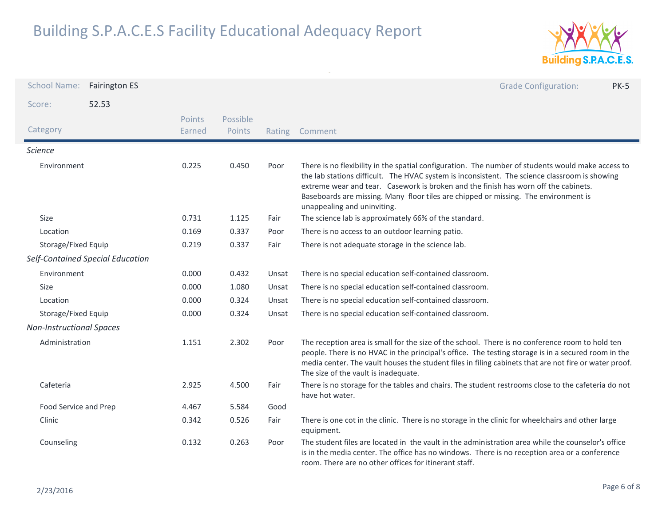

| <b>School Name:</b>             | <b>Fairington ES</b>             |                  |                    |        | <b>Grade Configuration:</b><br><b>PK-5</b>                                                                                                                                                                                                                                                                                                                                                                      |
|---------------------------------|----------------------------------|------------------|--------------------|--------|-----------------------------------------------------------------------------------------------------------------------------------------------------------------------------------------------------------------------------------------------------------------------------------------------------------------------------------------------------------------------------------------------------------------|
| Score:                          | 52.53                            |                  |                    |        |                                                                                                                                                                                                                                                                                                                                                                                                                 |
| Category                        |                                  | Points<br>Earned | Possible<br>Points | Rating | Comment                                                                                                                                                                                                                                                                                                                                                                                                         |
| <b>Science</b>                  |                                  |                  |                    |        |                                                                                                                                                                                                                                                                                                                                                                                                                 |
| Environment                     |                                  | 0.225            | 0.450              | Poor   | There is no flexibility in the spatial configuration. The number of students would make access to<br>the lab stations difficult. The HVAC system is inconsistent. The science classroom is showing<br>extreme wear and tear. Casework is broken and the finish has worn off the cabinets.<br>Baseboards are missing. Many floor tiles are chipped or missing. The environment is<br>unappealing and uninviting. |
| Size                            |                                  | 0.731            | 1.125              | Fair   | The science lab is approximately 66% of the standard.                                                                                                                                                                                                                                                                                                                                                           |
| Location                        |                                  | 0.169            | 0.337              | Poor   | There is no access to an outdoor learning patio.                                                                                                                                                                                                                                                                                                                                                                |
| Storage/Fixed Equip             |                                  | 0.219            | 0.337              | Fair   | There is not adequate storage in the science lab.                                                                                                                                                                                                                                                                                                                                                               |
|                                 | Self-Contained Special Education |                  |                    |        |                                                                                                                                                                                                                                                                                                                                                                                                                 |
| Environment                     |                                  | 0.000            | 0.432              | Unsat  | There is no special education self-contained classroom.                                                                                                                                                                                                                                                                                                                                                         |
| <b>Size</b>                     |                                  | 0.000            | 1.080              | Unsat  | There is no special education self-contained classroom.                                                                                                                                                                                                                                                                                                                                                         |
| Location                        |                                  | 0.000            | 0.324              | Unsat  | There is no special education self-contained classroom.                                                                                                                                                                                                                                                                                                                                                         |
| Storage/Fixed Equip             |                                  | 0.000            | 0.324              | Unsat  | There is no special education self-contained classroom.                                                                                                                                                                                                                                                                                                                                                         |
| <b>Non-Instructional Spaces</b> |                                  |                  |                    |        |                                                                                                                                                                                                                                                                                                                                                                                                                 |
| Administration                  |                                  | 1.151            | 2.302              | Poor   | The reception area is small for the size of the school. There is no conference room to hold ten<br>people. There is no HVAC in the principal's office. The testing storage is in a secured room in the<br>media center. The vault houses the student files in filing cabinets that are not fire or water proof.<br>The size of the vault is inadequate.                                                         |
| Cafeteria                       |                                  | 2.925            | 4.500              | Fair   | There is no storage for the tables and chairs. The student restrooms close to the cafeteria do not<br>have hot water.                                                                                                                                                                                                                                                                                           |
| Food Service and Prep           |                                  | 4.467            | 5.584              | Good   |                                                                                                                                                                                                                                                                                                                                                                                                                 |
| Clinic                          |                                  | 0.342            | 0.526              | Fair   | There is one cot in the clinic. There is no storage in the clinic for wheelchairs and other large<br>equipment.                                                                                                                                                                                                                                                                                                 |
| Counseling                      |                                  | 0.132            | 0.263              | Poor   | The student files are located in the vault in the administration area while the counselor's office<br>is in the media center. The office has no windows. There is no reception area or a conference<br>room. There are no other offices for itinerant staff.                                                                                                                                                    |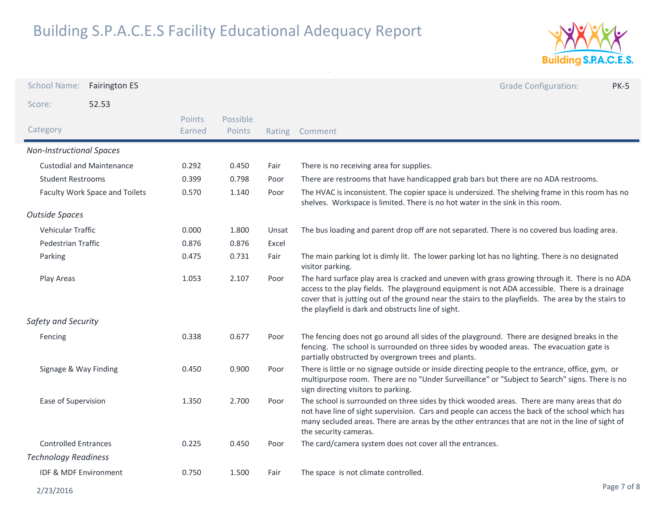

| <b>School Name:</b>              | <b>Fairington ES</b>           |                         |                    |       | <b>Grade Configuration:</b><br><b>PK-5</b>                                                                                                                                                                                                                                                                                                                      |
|----------------------------------|--------------------------------|-------------------------|--------------------|-------|-----------------------------------------------------------------------------------------------------------------------------------------------------------------------------------------------------------------------------------------------------------------------------------------------------------------------------------------------------------------|
| Score:                           | 52.53                          |                         |                    |       |                                                                                                                                                                                                                                                                                                                                                                 |
| Category                         |                                | <b>Points</b><br>Earned | Possible<br>Points |       | Rating Comment                                                                                                                                                                                                                                                                                                                                                  |
| <b>Non-Instructional Spaces</b>  |                                |                         |                    |       |                                                                                                                                                                                                                                                                                                                                                                 |
| <b>Custodial and Maintenance</b> |                                | 0.292                   | 0.450              | Fair  | There is no receiving area for supplies.                                                                                                                                                                                                                                                                                                                        |
| <b>Student Restrooms</b>         |                                | 0.399                   | 0.798              | Poor  | There are restrooms that have handicapped grab bars but there are no ADA restrooms.                                                                                                                                                                                                                                                                             |
|                                  | Faculty Work Space and Toilets | 0.570                   | 1.140              | Poor  | The HVAC is inconsistent. The copier space is undersized. The shelving frame in this room has no<br>shelves. Workspace is limited. There is no hot water in the sink in this room.                                                                                                                                                                              |
| <b>Outside Spaces</b>            |                                |                         |                    |       |                                                                                                                                                                                                                                                                                                                                                                 |
| <b>Vehicular Traffic</b>         |                                | 0.000                   | 1.800              | Unsat | The bus loading and parent drop off are not separated. There is no covered bus loading area.                                                                                                                                                                                                                                                                    |
| Pedestrian Traffic               |                                | 0.876                   | 0.876              | Excel |                                                                                                                                                                                                                                                                                                                                                                 |
| Parking                          |                                | 0.475                   | 0.731              | Fair  | The main parking lot is dimly lit. The lower parking lot has no lighting. There is no designated<br>visitor parking.                                                                                                                                                                                                                                            |
| Play Areas                       |                                | 1.053                   | 2.107              | Poor  | The hard surface play area is cracked and uneven with grass growing through it. There is no ADA<br>access to the play fields. The playground equipment is not ADA accessible. There is a drainage<br>cover that is jutting out of the ground near the stairs to the playfields. The area by the stairs to<br>the playfield is dark and obstructs line of sight. |
| Safety and Security              |                                |                         |                    |       |                                                                                                                                                                                                                                                                                                                                                                 |
| Fencing                          |                                | 0.338                   | 0.677              | Poor  | The fencing does not go around all sides of the playground. There are designed breaks in the<br>fencing. The school is surrounded on three sides by wooded areas. The evacuation gate is<br>partially obstructed by overgrown trees and plants.                                                                                                                 |
| Signage & Way Finding            |                                | 0.450                   | 0.900              | Poor  | There is little or no signage outside or inside directing people to the entrance, office, gym, or<br>multipurpose room. There are no "Under Surveillance" or "Subject to Search" signs. There is no<br>sign directing visitors to parking.                                                                                                                      |
| Ease of Supervision              |                                | 1.350                   | 2.700              | Poor  | The school is surrounded on three sides by thick wooded areas. There are many areas that do<br>not have line of sight supervision. Cars and people can access the back of the school which has<br>many secluded areas. There are areas by the other entrances that are not in the line of sight of<br>the security cameras.                                     |
| <b>Controlled Entrances</b>      |                                | 0.225                   | 0.450              | Poor  | The card/camera system does not cover all the entrances.                                                                                                                                                                                                                                                                                                        |
| <b>Technology Readiness</b>      |                                |                         |                    |       |                                                                                                                                                                                                                                                                                                                                                                 |
| IDF & MDF Environment            |                                | 0.750                   | 1.500              | Fair  | The space is not climate controlled.                                                                                                                                                                                                                                                                                                                            |
| 2/23/2016                        |                                |                         |                    |       | Page 7 of 8                                                                                                                                                                                                                                                                                                                                                     |